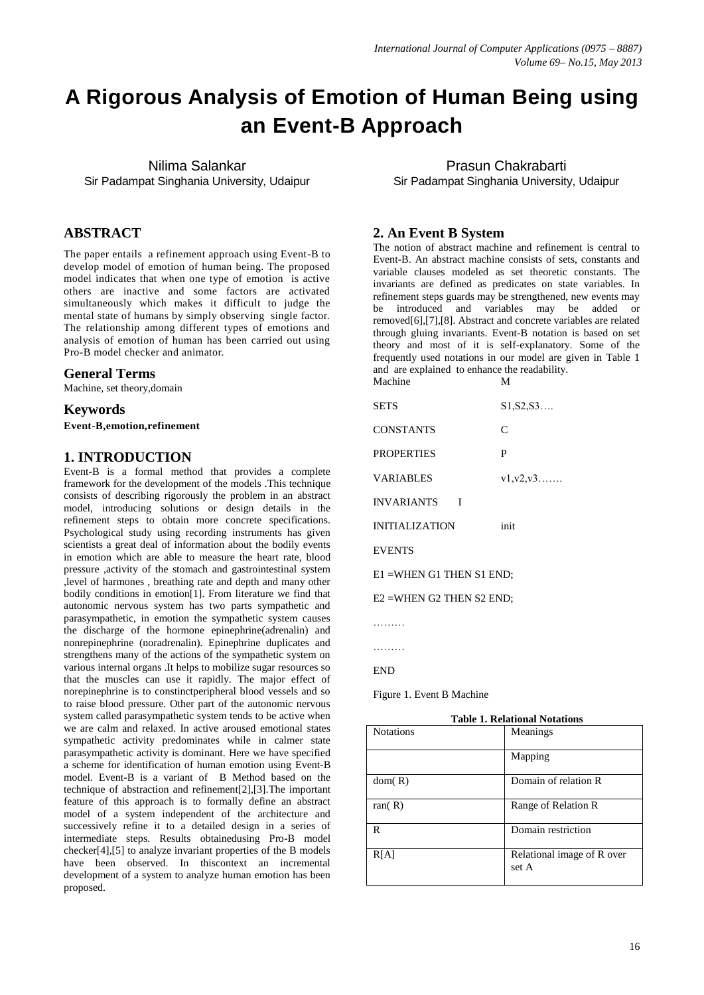# **A Rigorous Analysis of Emotion of Human Being using an Event-B Approach**

Nilima Salankar Sir Padampat Singhania University, Udaipur

## **ABSTRACT**

The paper entails a refinement approach using Event-B to develop model of emotion of human being. The proposed model indicates that when one type of emotion is active others are inactive and some factors are activated simultaneously which makes it difficult to judge the mental state of humans by simply observing single factor. The relationship among different types of emotions and analysis of emotion of human has been carried out using Pro-B model checker and animator.

#### **General Terms**

Machine, set theory,domain

### **Keywords**

**Event-B,emotion,refinement**

## **1. INTRODUCTION**

Event-B is a formal method that provides a complete framework for the development of the models .This technique consists of describing rigorously the problem in an abstract model, introducing solutions or design details in the refinement steps to obtain more concrete specifications. Psychological study using recording instruments has given scientists a great deal of information about the bodily events in emotion which are able to measure the heart rate, blood pressure ,activity of the stomach and gastrointestinal system ,level of harmones , breathing rate and depth and many other bodily conditions in emotion[1]. From literature we find that autonomic nervous system has two parts sympathetic and parasympathetic, in emotion the sympathetic system causes the discharge of the hormone epinephrine(adrenalin) and nonrepinephrine (noradrenalin). Epinephrine duplicates and strengthens many of the actions of the sympathetic system on various internal organs .It helps to mobilize sugar resources so that the muscles can use it rapidly. The major effect of norepinephrine is to constinctperipheral blood vessels and so to raise blood pressure. Other part of the autonomic nervous system called parasympathetic system tends to be active when we are calm and relaxed. In active aroused emotional states sympathetic activity predominates while in calmer state parasympathetic activity is dominant. Here we have specified a scheme for identification of human emotion using Event-B model. Event-B is a variant of B Method based on the technique of abstraction and refinement[2],[3].The important feature of this approach is to formally define an abstract model of a system independent of the architecture and successively refine it to a detailed design in a series of intermediate steps. Results obtainedusing Pro-B model checker[4],[5] to analyze invariant properties of the B models have been observed. In thiscontext an incremental development of a system to analyze human emotion has been proposed.

Prasun Chakrabarti Sir Padampat Singhania University, Udaipur

## **2. An Event B System**

The notion of abstract machine and refinement is central to Event-B. An abstract machine consists of sets, constants and variable clauses modeled as set theoretic constants. The invariants are defined as predicates on state variables. In refinement steps guards may be strengthened, new events may be introduced and variables may be added or removed[6],[7],[8]. Abstract and concrete variables are related through gluing invariants. Event-B notation is based on set theory and most of it is self-explanatory. Some of the frequently used notations in our model are given in Table 1 and are explained to enhance the readability. Machine M

| SETS                                | $S1, S2, S3$         |  |
|-------------------------------------|----------------------|--|
| CONSTANTS                           | $\mathsf{C}$         |  |
| <b>PROPERTIES</b>                   | P                    |  |
| VARIABLES                           | $v1, v2, v3, \ldots$ |  |
| <b>INVARIANTS</b><br>$\blacksquare$ |                      |  |
| <b>INITIALIZATION</b>               | init                 |  |
| <b>EVENTS</b>                       |                      |  |
| E1 =WHEN G1 THEN S1 END;            |                      |  |
| E2 =WHEN G2 THEN S2 END;            |                      |  |

………

………

END

Figure 1. Event B Machine

| Table 1. Relativitat i vitativits |                                     |  |
|-----------------------------------|-------------------------------------|--|
| <b>Notations</b>                  | Meanings                            |  |
|                                   | Mapping                             |  |
| dom(R)                            | Domain of relation R                |  |
| ran $(R)$                         | Range of Relation R                 |  |
| R                                 | Domain restriction                  |  |
| R[A]                              | Relational image of R over<br>set A |  |

## **Table 1. Relational Notations**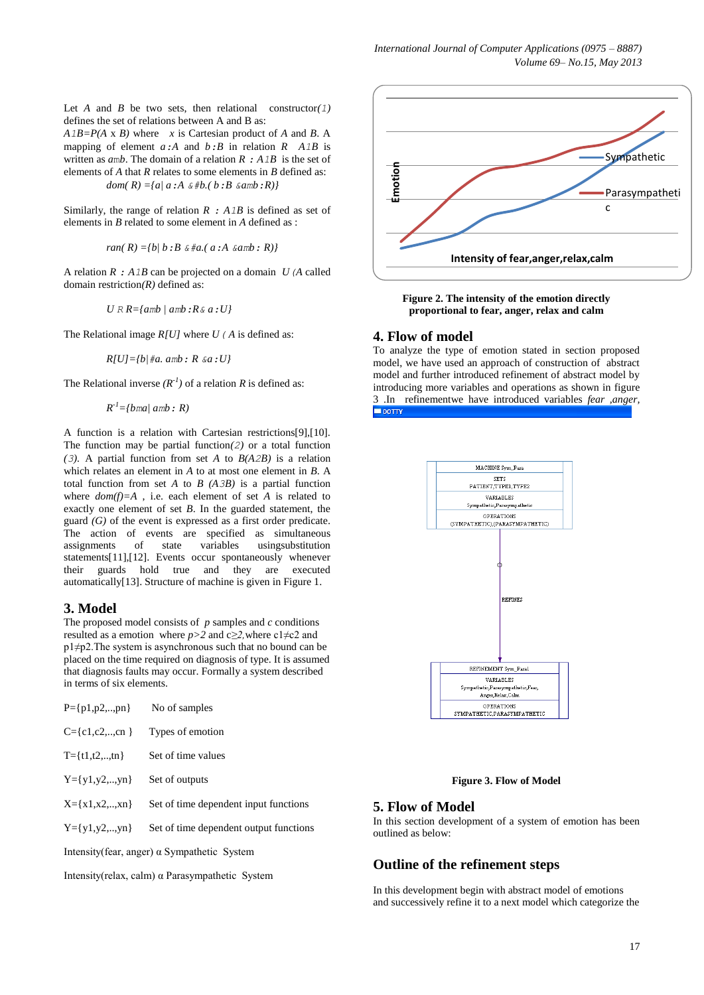Let *A* and *B* be two sets, then relational constructor(1) defines the set of relations between A and B as:

 $A1B = P(A \times B)$  where *x* is Cartesian product of *A* and *B*. A mapping of element  $a:A$  and  $b:B$  in relation  $R$   $A1B$  is written as *a*m*b*. The domain of a relation *R : A1B* is the set of elements of *A* that *R* relates to some elements in *B* defined as: *dom( R) ={a| a:A &#b.( b:B &amb:R)}* 

Similarly, the range of relation *R : A1B* is defined as set of elements in *B* related to some element in *A* defined as :

*ran( R) ={b| b:B &#a.( a:A &amb: R)}*

A relation *R : A1B* can be projected on a domain *U(A* called domain restriction*(R)* defined as:

*U R R={amb | amb:R& a:U}*

The Relational image *R[U]* where *U( A* is defined as:

*R[U]={b|#a. amb: R &a:U}*

The Relational inverse  $(R^{-1})$  of a relation R is defined as:

 $R^{-1} = \{bm \ | \ p$ ma $\mid \ amb \in R \}$ 

A function is a relation with Cartesian restrictions[9],[10]. The function may be partial function $(2)$  or a total function (3). A partial function from set *A* to  $B(A2B)$  is a relation which relates an element in *A* to at most one element in *B*. A total function from set *A* to *B (A3B)* is a partial function where *dom(f)=A* , i.e. each element of set *A* is related to exactly one element of set *B*. In the guarded statement, the guard *(G)* of the event is expressed as a first order predicate. The action of events are specified as simultaneous assignments of state variables usingsubstitution statements[11],[12]. Events occur spontaneously whenever their guards hold true and they are executed automatically[13]. Structure of machine is given in Figure 1.

#### **3. Model**

The proposed model consists of *p* samples and *c* conditions resulted as a emotion where *p>2* and c*≥2,*where c1≠c2 and p1≠p2.The system is asynchronous such that no bound can be placed on the time required on diagnosis of type. It is assumed that diagnosis faults may occur. Formally a system described in terms of six elements.

| $P = \{p1, p2, \ldots, pn\}$                        | No of samples                          |  |
|-----------------------------------------------------|----------------------------------------|--|
| $C = \{c1, c2, \ldots, cn\}$                        | Types of emotion                       |  |
| $T = \{t1, t2, \ldots, t(n)\}$                      | Set of time values                     |  |
| $Y = \{y1, y2, , yn\}$                              | Set of outputs                         |  |
| $X = \{x1, x2, \ldots, xn\}$                        | Set of time dependent input functions  |  |
| $Y = \{y1, y2, , yn\}$                              | Set of time dependent output functions |  |
| Intensity (fear, anger) $\alpha$ Sympathetic System |                                        |  |
|                                                     |                                        |  |

Intensity(relax, calm) α Parasympathetic System



**Figure 2. The intensity of the emotion directly proportional to fear, anger, relax and calm**

#### **4. Flow of model**

To analyze the type of emotion stated in section proposed model, we have used an approach of construction of abstract model and further introduced refinement of abstract model by introducing more variables and operations as shown in figure 3 .In refinementwe have introduced variables *fear ,anger,*



**Figure 3. Flow of Model**

## **5. Flow of Model**

In this section development of a system of emotion has been outlined as below:

## **Outline of the refinement steps**

In this development begin with abstract model of emotions and successively refine it to a next model which categorize the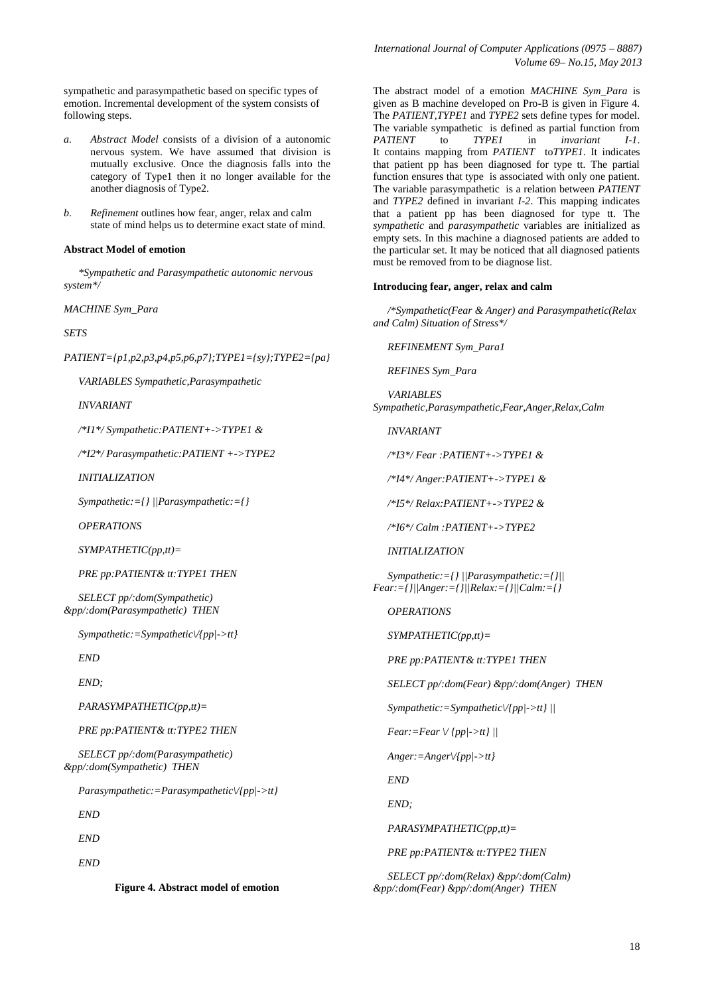sympathetic and parasympathetic based on specific types of emotion. Incremental development of the system consists of following steps.

- *a. Abstract Model* consists of a division of a autonomic nervous system. We have assumed that division is mutually exclusive. Once the diagnosis falls into the category of Type1 then it no longer available for the another diagnosis of Type2.
- *b. Refinement* outlines how fear, anger, relax and calm state of mind helps us to determine exact state of mind.

#### **Abstract Model of emotion**

*\*Sympathetic and Parasympathetic autonomic nervous system\*/* 

*MACHINE Sym\_Para*

*SETS* 

*PATIENT={p1,p2,p3,p4,p5,p6,p7};TYPE1={sy};TYPE2={pa}*

*VARIABLES Sympathetic,Parasympathetic*

*INVARIANT*

*/\*I1\*/ Sympathetic:PATIENT+->TYPE1 &*

*/\*I2\*/ Parasympathetic:PATIENT +->TYPE2*

*INITIALIZATION*

*Sympathetic:={} ||Parasympathetic:={}* 

*OPERATIONS*

*SYMPATHETIC(pp,tt)=*

*PRE pp:PATIENT& tt:TYPE1 THEN*

*SELECT pp/:dom(Sympathetic) &pp/:dom(Parasympathetic) THEN*

*Sympathetic:=Sympathetic\/{pp|->tt}* 

*END*

*END;*

*PARASYMPATHETIC(pp,tt)=*

*PRE pp:PATIENT& tt:TYPE2 THEN*

*SELECT pp/:dom(Parasympathetic) &pp/:dom(Sympathetic) THEN*

*Parasympathetic:=Parasympathetic\/{pp|->tt}*

*END*

*END*

*END*

**Figure 4. Abstract model of emotion**

The abstract model of a emotion *MACHINE Sym\_Para* is given as B machine developed on Pro-B is given in Figure 4. The *PATIENT,TYPE1* and *TYPE2* sets define types for model. The variable sympathetic is defined as partial function from *PATIENT* to *TYPE1* in *invariant I-1*. It contains mapping from *PATIENT* to*TYPE1*. It indicates that patient pp has been diagnosed for type tt. The partial function ensures that type is associated with only one patient. The variable parasympathetic is a relation between *PATIENT* and *TYPE2* defined in invariant *I-2*. This mapping indicates that a patient pp has been diagnosed for type tt. The *sympathetic* and *parasympathetic* variables are initialized as empty sets. In this machine a diagnosed patients are added to the particular set. It may be noticed that all diagnosed patients must be removed from to be diagnose list.

#### **Introducing fear, anger, relax and calm**

*/\*Sympathetic(Fear & Anger) and Parasympathetic(Relax and Calm) Situation of Stress\*/*

*REFINEMENT Sym\_Para1*

*REFINES Sym\_Para*

*VARIABLES Sympathetic,Parasympathetic,Fear,Anger,Relax,Calm*

*INVARIANT*

*/\*I3\*/ Fear :PATIENT+->TYPE1 &*

*/\*I4\*/ Anger:PATIENT+->TYPE1 &*

*/\*I5\*/ Relax:PATIENT+->TYPE2 &*

*/\*I6\*/ Calm :PATIENT+->TYPE2* 

*INITIALIZATION*

*Sympathetic:={} ||Parasympathetic:={}|| Fear:={}||Anger:={}||Relax:={}||Calm:={}*

*OPERATIONS*

*SYMPATHETIC(pp,tt)=*

*PRE pp:PATIENT& tt:TYPE1 THEN*

*SELECT pp/:dom(Fear) &pp/:dom(Anger) THEN*

*Sympathetic:=Sympathetic\/{pp|->tt} ||*

*Fear:=Fear \/ {pp|->tt} ||*

*Anger:=Anger\/{pp|->tt}*

*END*

*END;*

*PARASYMPATHETIC(pp,tt)=*

*PRE pp:PATIENT& tt:TYPE2 THEN*

*SELECT pp/:dom(Relax) &pp/:dom(Calm) &pp/:dom(Fear) &pp/:dom(Anger) THEN*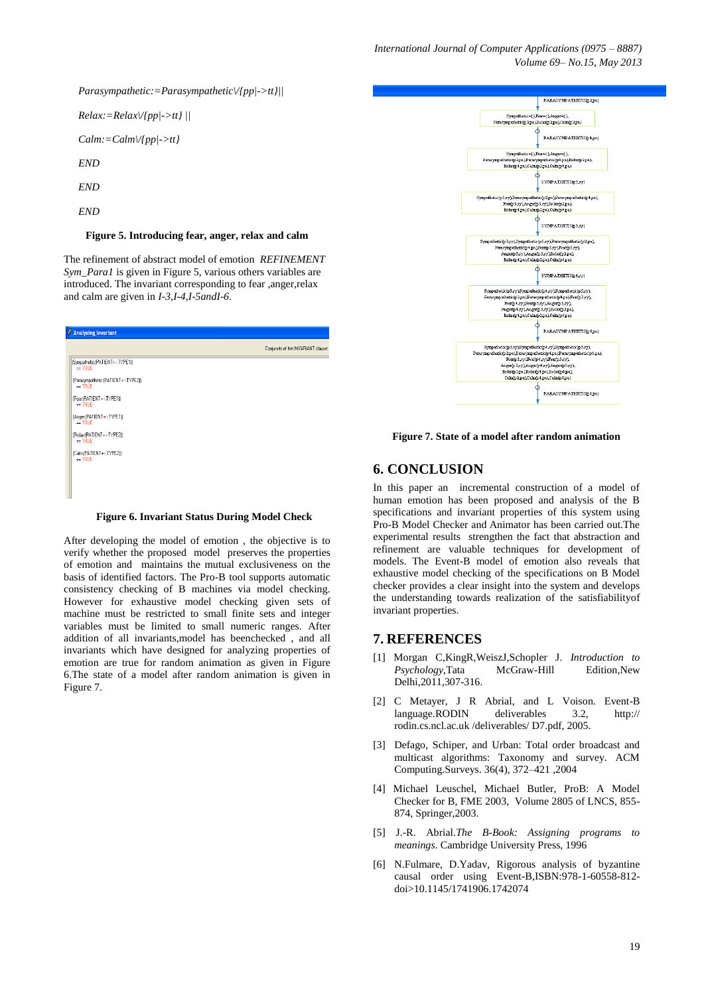*Parasympathetic:=Parasympathetic\/{pp|->tt}||*

*Relax:=Relax\/{pp|->tt} || Calm:=Calm\/{pp|->tt} END END END*

#### **Figure 5. Introducing fear, anger, relax and calm**

The refinement of abstract model of emotion *REFINEMENT Sym\_Para1* is given in Figure 5, various others variables are introduced. The invariant corresponding to fear ,anger,relax and calm are given in *I-3,I-4,I-5andI-6*.

| <b>Analysing Invariant</b>                     |                                    |
|------------------------------------------------|------------------------------------|
|                                                | Conjuncts of the INVARIANT clause: |
| (Sympathetic: [PATIENT+>TYPE1])<br>$=$ TRUE    |                                    |
| (Parasympathetic:(PATIENT+>TYPE2))<br>$=$ TRUE |                                    |
| (Fear:(PATIENT+>TYPE1))<br>$=$ TRUE            |                                    |
| (Anger (PATIENT+>TYPE1))<br>$=$ TRUE           |                                    |
| (Relax (PATIENT+>TYPE2))<br>$=$ TRUE           |                                    |
| (Calm (PATIENT+>TYPE2))<br>$=$ TRUE            |                                    |
|                                                |                                    |
|                                                |                                    |

#### **Figure 6. Invariant Status During Model Check**

After developing the model of emotion , the objective is to verify whether the proposed model preserves the properties of emotion and maintains the mutual exclusiveness on the basis of identified factors. The Pro-B tool supports automatic consistency checking of B machines via model checking. However for exhaustive model checking given sets of machine must be restricted to small finite sets and integer variables must be limited to small numeric ranges. After addition of all invariants,model has beenchecked , and all invariants which have designed for analyzing properties of emotion are true for random animation as given in Figure 6.The state of a model after random animation is given in Figure 7.



**Figure 7. State of a model after random animation**

## **6. CONCLUSION**

In this paper an incremental construction of a model of human emotion has been proposed and analysis of the B specifications and invariant properties of this system using Pro-B Model Checker and Animator has been carried out.The experimental results strengthen the fact that abstraction and refinement are valuable techniques for development of models. The Event-B model of emotion also reveals that exhaustive model checking of the specifications on B Model checker provides a clear insight into the system and develops the understanding towards realization of the satisfiabilityof invariant properties.

## **7. REFERENCES**

- [1] Morgan C,KingR,WeiszJ,Schopler J. *Introduction to Psychology*,Tata McGraw-Hill Edition,New Delhi,2011,307-316.
- [2] C Metayer, J R Abrial, and L Voison. Event-B language.RODIN deliverables 3.2, http:// rodin.cs.ncl.ac.uk /deliverables/ D7.pdf, 2005.
- [3] Defago, Schiper, and Urban: Total order broadcast and multicast algorithms: Taxonomy and survey. ACM Computing.Surveys. 36(4), 372–421 ,2004
- [4] Michael Leuschel, Michael Butler, ProB: A Model Checker for B, FME 2003, Volume 2805 of LNCS, 855- 874, Springer,2003.
- [5] J.-R. Abrial.*The B-Book: Assigning programs to meanings*. Cambridge University Press, 1996
- [6] N.Fulmare, D.Yadav, Rigorous analysis of byzantine causal order using Event-B,ISBN:978-1-60558-812 doi>10.1145/1741906.1742074